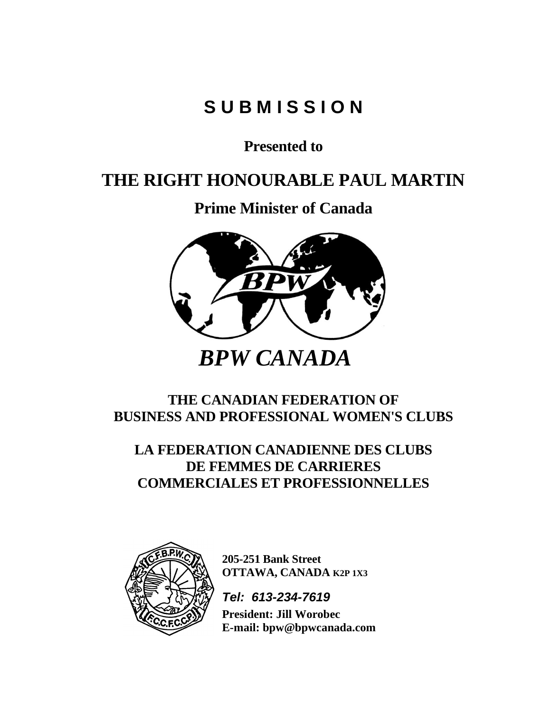# **S U B M I S S I O N**

**Presented to**

## **THE RIGHT HONOURABLE PAUL MARTIN**

**Prime Minister of Canada**



### **THE CANADIAN FEDERATION OF BUSINESS AND PROFESSIONAL WOMEN'S CLUBS**

**LA FEDERATION CANADIENNE DES CLUBS DE FEMMES DE CARRIERES COMMERCIALES ET PROFESSIONNELLES**



**205-251 Bank Street OTTAWA, CANADA K2P 1X3** 

*Tel: 613-234-7619*

**President: Jill Worobec E-mail:** bpw@bpwcanada.com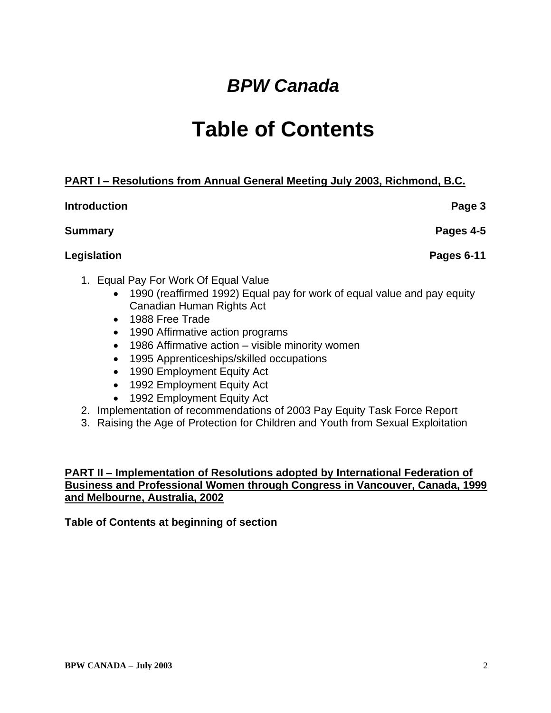# *BPW Canada*

# **Table of Contents**

### **PART I – Resolutions from Annual General Meeting July 2003, Richmond, B.C.**

### **Introduction Page 3**

### **Summary Pages 4-5**

### **Legislation Pages 6-11**

- 1. Equal Pay For Work Of Equal Value
	- 1990 (reaffirmed 1992) Equal pay for work of equal value and pay equity Canadian Human Rights Act
	- 1988 Free Trade
	- 1990 Affirmative action programs
	- 1986 Affirmative action visible minority women
	- 1995 Apprenticeships/skilled occupations
	- 1990 Employment Equity Act
	- 1992 Employment Equity Act
	- 1992 Employment Equity Act
- 2. Implementation of recommendations of 2003 Pay Equity Task Force Report
- 3. Raising the Age of Protection for Children and Youth from Sexual Exploitation

### **PART II – Implementation of Resolutions adopted by International Federation of Business and Professional Women through Congress in Vancouver, Canada, 1999 and Melbourne, Australia, 2002**

### **Table of Contents at beginning of section**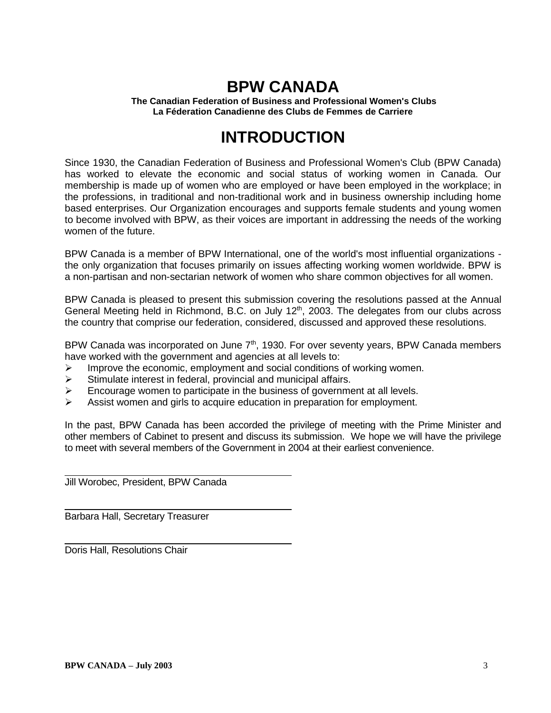## **BPW CANADA**

**The Canadian Federation of Business and Professional Women's Clubs La Féderation Canadienne des Clubs de Femmes de Carriere**

## **INTRODUCTION**

Since 1930, the Canadian Federation of Business and Professional Women's Club (BPW Canada) has worked to elevate the economic and social status of working women in Canada. Our membership is made up of women who are employed or have been employed in the workplace; in the professions, in traditional and non-traditional work and in business ownership including home based enterprises. Our Organization encourages and supports female students and young women to become involved with BPW, as their voices are important in addressing the needs of the working women of the future.

BPW Canada is a member of BPW International, one of the world's most influential organizations the only organization that focuses primarily on issues affecting working women worldwide. BPW is a non-partisan and non-sectarian network of women who share common objectives for all women.

BPW Canada is pleased to present this submission covering the resolutions passed at the Annual General Meeting held in Richmond, B.C. on July 12<sup>th</sup>, 2003. The delegates from our clubs across the country that comprise our federation, considered, discussed and approved these resolutions.

BPW Canada was incorporated on June 7<sup>th</sup>, 1930. For over seventy years, BPW Canada members have worked with the government and agencies at all levels to:

- $\triangleright$  Improve the economic, employment and social conditions of working women.
- ➢ Stimulate interest in federal, provincial and municipal affairs.
- $\triangleright$  Encourage women to participate in the business of government at all levels.
- $\triangleright$  Assist women and girls to acquire education in preparation for employment.

In the past, BPW Canada has been accorded the privilege of meeting with the Prime Minister and other members of Cabinet to present and discuss its submission. We hope we will have the privilege to meet with several members of the Government in 2004 at their earliest convenience.

Jill Worobec, President, BPW Canada

Barbara Hall, Secretary Treasurer

Doris Hall, Resolutions Chair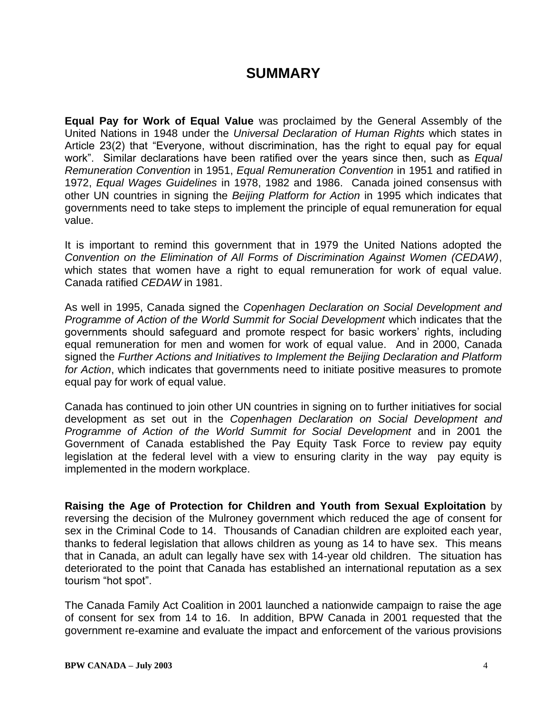### **SUMMARY**

**Equal Pay for Work of Equal Value** was proclaimed by the General Assembly of the United Nations in 1948 under the *Universal Declaration of Human Rights* which states in Article 23(2) that "Everyone, without discrimination, has the right to equal pay for equal work". Similar declarations have been ratified over the years since then, such as *Equal Remuneration Convention* in 1951, *Equal Remuneration Convention* in 1951 and ratified in 1972, *Equal Wages Guidelines* in 1978, 1982 and 1986. Canada joined consensus with other UN countries in signing the *Beijing Platform for Action* in 1995 which indicates that governments need to take steps to implement the principle of equal remuneration for equal value.

It is important to remind this government that in 1979 the United Nations adopted the *Convention on the Elimination of All Forms of Discrimination Against Women (CEDAW)*, which states that women have a right to equal remuneration for work of equal value. Canada ratified *CEDAW* in 1981.

As well in 1995, Canada signed the *Copenhagen Declaration on Social Development and Programme of Action of the World Summit for Social Development* which indicates that the governments should safeguard and promote respect for basic workers' rights, including equal remuneration for men and women for work of equal value. And in 2000, Canada signed the *Further Actions and Initiatives to Implement the Beijing Declaration and Platform for Action*, which indicates that governments need to initiate positive measures to promote equal pay for work of equal value.

Canada has continued to join other UN countries in signing on to further initiatives for social development as set out in the *Copenhagen Declaration on Social Development and Programme of Action of the World Summit for Social Development* and in 2001 the Government of Canada established the Pay Equity Task Force to review pay equity legislation at the federal level with a view to ensuring clarity in the way pay equity is implemented in the modern workplace.

**Raising the Age of Protection for Children and Youth from Sexual Exploitation** by reversing the decision of the Mulroney government which reduced the age of consent for sex in the Criminal Code to 14. Thousands of Canadian children are exploited each year, thanks to federal legislation that allows children as young as 14 to have sex. This means that in Canada, an adult can legally have sex with 14-year old children. The situation has deteriorated to the point that Canada has established an international reputation as a sex tourism "hot spot".

The Canada Family Act Coalition in 2001 launched a nationwide campaign to raise the age of consent for sex from 14 to 16. In addition, BPW Canada in 2001 requested that the government re-examine and evaluate the impact and enforcement of the various provisions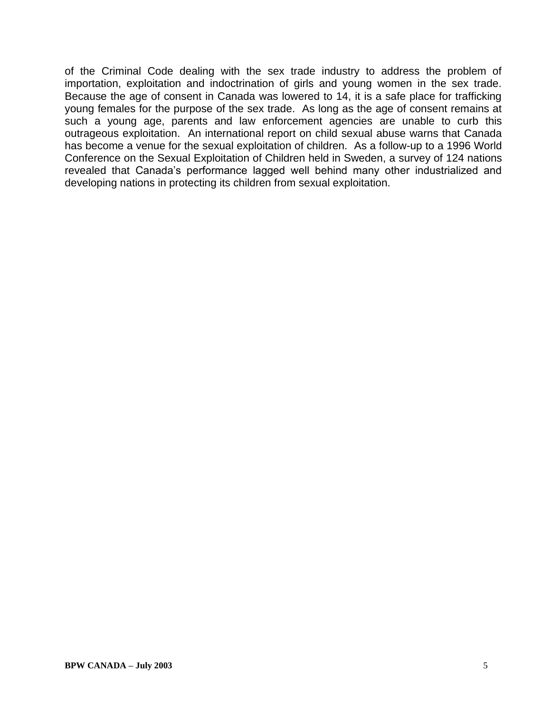of the Criminal Code dealing with the sex trade industry to address the problem of importation, exploitation and indoctrination of girls and young women in the sex trade. Because the age of consent in Canada was lowered to 14, it is a safe place for trafficking young females for the purpose of the sex trade. As long as the age of consent remains at such a young age, parents and law enforcement agencies are unable to curb this outrageous exploitation. An international report on child sexual abuse warns that Canada has become a venue for the sexual exploitation of children. As a follow-up to a 1996 World Conference on the Sexual Exploitation of Children held in Sweden, a survey of 124 nations revealed that Canada's performance lagged well behind many other industrialized and developing nations in protecting its children from sexual exploitation.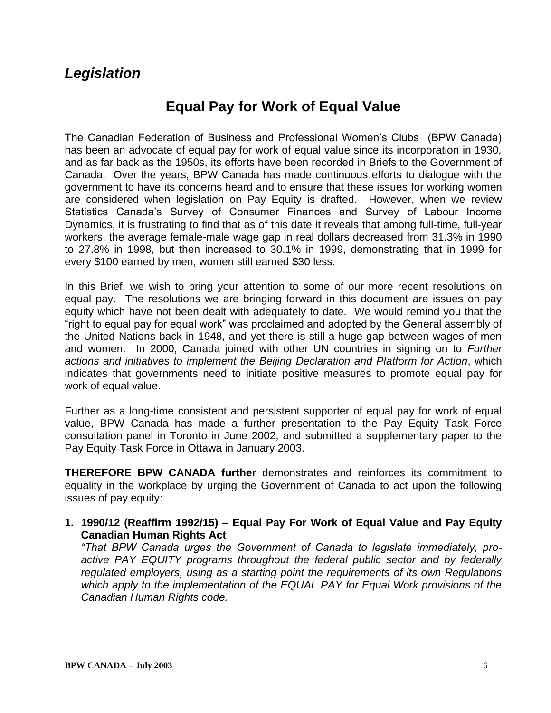### *Legislation*

## **Equal Pay for Work of Equal Value**

The Canadian Federation of Business and Professional Women's Clubs (BPW Canada) has been an advocate of equal pay for work of equal value since its incorporation in 1930, and as far back as the 1950s, its efforts have been recorded in Briefs to the Government of Canada. Over the years, BPW Canada has made continuous efforts to dialogue with the government to have its concerns heard and to ensure that these issues for working women are considered when legislation on Pay Equity is drafted. However, when we review Statistics Canada's Survey of Consumer Finances and Survey of Labour Income Dynamics, it is frustrating to find that as of this date it reveals that among full-time, full-year workers, the average female-male wage gap in real dollars decreased from 31.3% in 1990 to 27.8% in 1998, but then increased to 30.1% in 1999, demonstrating that in 1999 for every \$100 earned by men, women still earned \$30 less.

In this Brief, we wish to bring your attention to some of our more recent resolutions on equal pay. The resolutions we are bringing forward in this document are issues on pay equity which have not been dealt with adequately to date. We would remind you that the "right to equal pay for equal work" was proclaimed and adopted by the General assembly of the United Nations back in 1948, and yet there is still a huge gap between wages of men and women. In 2000, Canada joined with other UN countries in signing on to *Further actions and initiatives to implement the Beijing Declaration and Platform for Action*, which indicates that governments need to initiate positive measures to promote equal pay for work of equal value.

Further as a long-time consistent and persistent supporter of equal pay for work of equal value, BPW Canada has made a further presentation to the Pay Equity Task Force consultation panel in Toronto in June 2002, and submitted a supplementary paper to the Pay Equity Task Force in Ottawa in January 2003.

**THEREFORE BPW CANADA further** demonstrates and reinforces its commitment to equality in the workplace by urging the Government of Canada to act upon the following issues of pay equity:

**1. 1990/12 (Reaffirm 1992/15) – Equal Pay For Work of Equal Value and Pay Equity Canadian Human Rights Act**

*"That BPW Canada urges the Government of Canada to legislate immediately, proactive PAY EQUITY programs throughout the federal public sector and by federally regulated employers, using as a starting point the requirements of its own Regulations which apply to the implementation of the EQUAL PAY for Equal Work provisions of the Canadian Human Rights code.*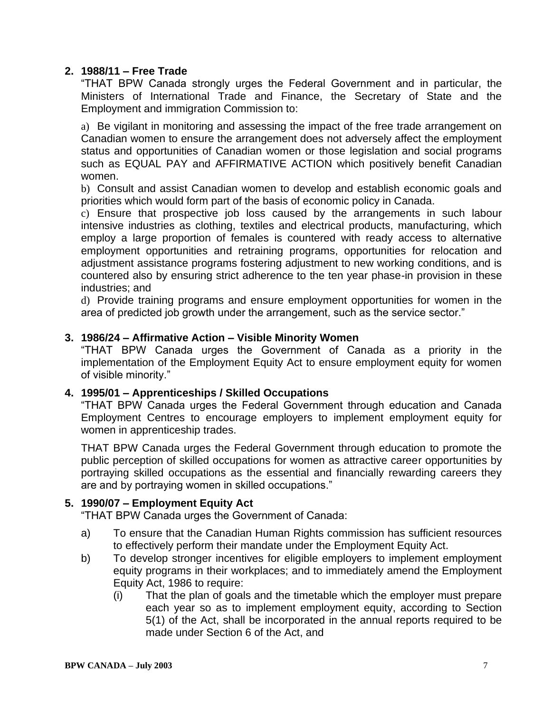### **2. 1988/11 – Free Trade**

"THAT BPW Canada strongly urges the Federal Government and in particular, the Ministers of International Trade and Finance, the Secretary of State and the Employment and immigration Commission to:

a) Be vigilant in monitoring and assessing the impact of the free trade arrangement on Canadian women to ensure the arrangement does not adversely affect the employment status and opportunities of Canadian women or those legislation and social programs such as EQUAL PAY and AFFIRMATIVE ACTION which positively benefit Canadian women.

b) Consult and assist Canadian women to develop and establish economic goals and priorities which would form part of the basis of economic policy in Canada.

c) Ensure that prospective job loss caused by the arrangements in such labour intensive industries as clothing, textiles and electrical products, manufacturing, which employ a large proportion of females is countered with ready access to alternative employment opportunities and retraining programs, opportunities for relocation and adjustment assistance programs fostering adjustment to new working conditions, and is countered also by ensuring strict adherence to the ten year phase-in provision in these industries; and

d) Provide training programs and ensure employment opportunities for women in the area of predicted job growth under the arrangement, such as the service sector."

#### **3. 1986/24 – Affirmative Action – Visible Minority Women**

"THAT BPW Canada urges the Government of Canada as a priority in the implementation of the Employment Equity Act to ensure employment equity for women of visible minority."

#### **4. 1995/01 – Apprenticeships / Skilled Occupations**

"THAT BPW Canada urges the Federal Government through education and Canada Employment Centres to encourage employers to implement employment equity for women in apprenticeship trades.

THAT BPW Canada urges the Federal Government through education to promote the public perception of skilled occupations for women as attractive career opportunities by portraying skilled occupations as the essential and financially rewarding careers they are and by portraying women in skilled occupations."

#### **5. 1990/07 – Employment Equity Act**

"THAT BPW Canada urges the Government of Canada:

- a) To ensure that the Canadian Human Rights commission has sufficient resources to effectively perform their mandate under the Employment Equity Act.
- b) To develop stronger incentives for eligible employers to implement employment equity programs in their workplaces; and to immediately amend the Employment Equity Act, 1986 to require:
	- (i) That the plan of goals and the timetable which the employer must prepare each year so as to implement employment equity, according to Section 5(1) of the Act, shall be incorporated in the annual reports required to be made under Section 6 of the Act, and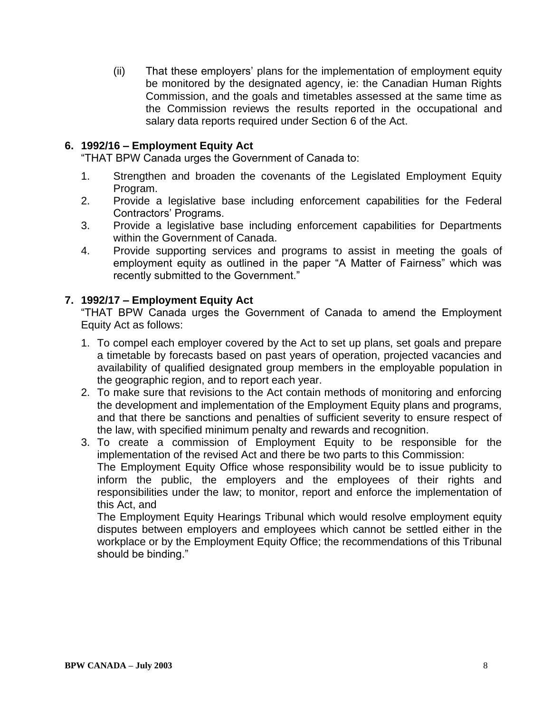(ii) That these employers' plans for the implementation of employment equity be monitored by the designated agency, ie: the Canadian Human Rights Commission, and the goals and timetables assessed at the same time as the Commission reviews the results reported in the occupational and salary data reports required under Section 6 of the Act.

#### **6. 1992/16 – Employment Equity Act**

"THAT BPW Canada urges the Government of Canada to:

- 1. Strengthen and broaden the covenants of the Legislated Employment Equity Program.
- 2. Provide a legislative base including enforcement capabilities for the Federal Contractors' Programs.
- 3. Provide a legislative base including enforcement capabilities for Departments within the Government of Canada.
- 4. Provide supporting services and programs to assist in meeting the goals of employment equity as outlined in the paper "A Matter of Fairness" which was recently submitted to the Government."

### **7. 1992/17 – Employment Equity Act**

"THAT BPW Canada urges the Government of Canada to amend the Employment Equity Act as follows:

- 1. To compel each employer covered by the Act to set up plans, set goals and prepare a timetable by forecasts based on past years of operation, projected vacancies and availability of qualified designated group members in the employable population in the geographic region, and to report each year.
- 2. To make sure that revisions to the Act contain methods of monitoring and enforcing the development and implementation of the Employment Equity plans and programs, and that there be sanctions and penalties of sufficient severity to ensure respect of the law, with specified minimum penalty and rewards and recognition.
- 3. To create a commission of Employment Equity to be responsible for the implementation of the revised Act and there be two parts to this Commission: The Employment Equity Office whose responsibility would be to issue publicity to inform the public, the employers and the employees of their rights and responsibilities under the law; to monitor, report and enforce the implementation of this Act, and

The Employment Equity Hearings Tribunal which would resolve employment equity disputes between employers and employees which cannot be settled either in the workplace or by the Employment Equity Office; the recommendations of this Tribunal should be binding."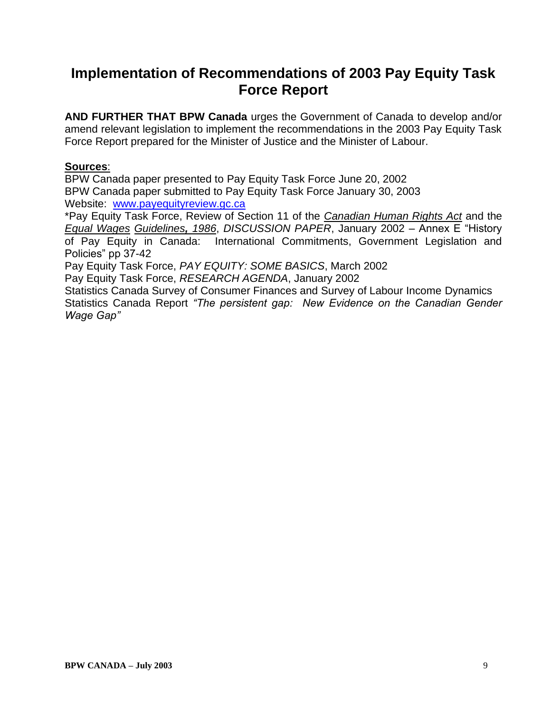## **Implementation of Recommendations of 2003 Pay Equity Task Force Report**

**AND FURTHER THAT BPW Canada** urges the Government of Canada to develop and/or amend relevant legislation to implement the recommendations in the 2003 Pay Equity Task Force Report prepared for the Minister of Justice and the Minister of Labour.

#### **Sources**:

BPW Canada paper presented to Pay Equity Task Force June 20, 2002 BPW Canada paper submitted to Pay Equity Task Force January 30, 2003 Website: [www.payequityreview.gc.ca](http://www.payequityreview,gc.ca/)

\*Pay Equity Task Force, Review of Section 11 of the *Canadian Human Rights Act* and the *Equal Wages Guidelines, 1986*, *DISCUSSION PAPER*, January 2002 – Annex E "History of Pay Equity in Canada: International Commitments, Government Legislation and Policies" pp 37-42

Pay Equity Task Force, *PAY EQUITY: SOME BASICS*, March 2002

Pay Equity Task Force, *RESEARCH AGENDA*, January 2002

Statistics Canada Survey of Consumer Finances and Survey of Labour Income Dynamics Statistics Canada Report *"The persistent gap: New Evidence on the Canadian Gender Wage Gap"*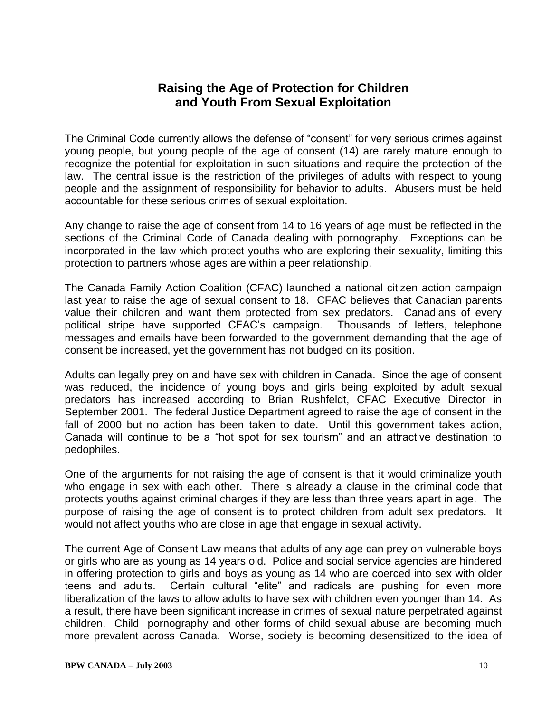### **Raising the Age of Protection for Children and Youth From Sexual Exploitation**

The Criminal Code currently allows the defense of "consent" for very serious crimes against young people, but young people of the age of consent (14) are rarely mature enough to recognize the potential for exploitation in such situations and require the protection of the law. The central issue is the restriction of the privileges of adults with respect to young people and the assignment of responsibility for behavior to adults. Abusers must be held accountable for these serious crimes of sexual exploitation.

Any change to raise the age of consent from 14 to 16 years of age must be reflected in the sections of the Criminal Code of Canada dealing with pornography. Exceptions can be incorporated in the law which protect youths who are exploring their sexuality, limiting this protection to partners whose ages are within a peer relationship.

The Canada Family Action Coalition (CFAC) launched a national citizen action campaign last year to raise the age of sexual consent to 18. CFAC believes that Canadian parents value their children and want them protected from sex predators. Canadians of every political stripe have supported CFAC's campaign. Thousands of letters, telephone messages and emails have been forwarded to the government demanding that the age of consent be increased, yet the government has not budged on its position.

Adults can legally prey on and have sex with children in Canada. Since the age of consent was reduced, the incidence of young boys and girls being exploited by adult sexual predators has increased according to Brian Rushfeldt, CFAC Executive Director in September 2001. The federal Justice Department agreed to raise the age of consent in the fall of 2000 but no action has been taken to date. Until this government takes action, Canada will continue to be a "hot spot for sex tourism" and an attractive destination to pedophiles.

One of the arguments for not raising the age of consent is that it would criminalize youth who engage in sex with each other. There is already a clause in the criminal code that protects youths against criminal charges if they are less than three years apart in age. The purpose of raising the age of consent is to protect children from adult sex predators. It would not affect youths who are close in age that engage in sexual activity.

The current Age of Consent Law means that adults of any age can prey on vulnerable boys or girls who are as young as 14 years old. Police and social service agencies are hindered in offering protection to girls and boys as young as 14 who are coerced into sex with older teens and adults. Certain cultural "elite" and radicals are pushing for even more liberalization of the laws to allow adults to have sex with children even younger than 14. As a result, there have been significant increase in crimes of sexual nature perpetrated against children. Child pornography and other forms of child sexual abuse are becoming much more prevalent across Canada. Worse, society is becoming desensitized to the idea of